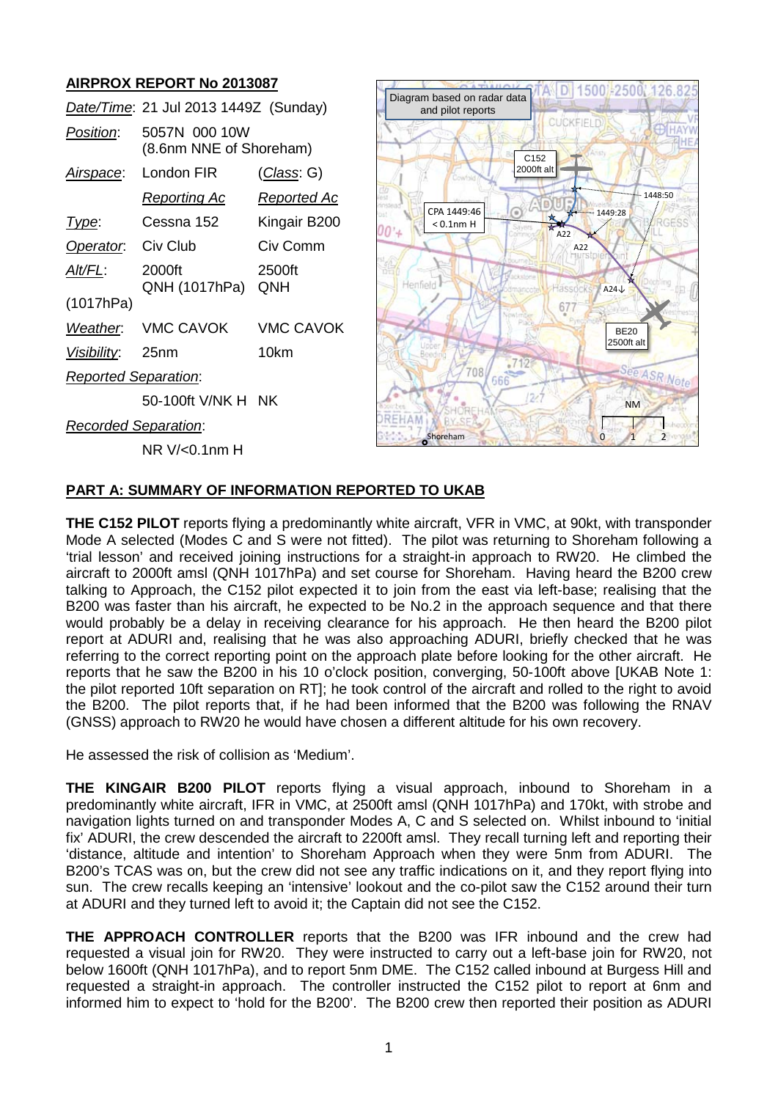# **AIRPROX REPORT No 2013087**

|                             | Date/Time: 21 Jul 2013 1449Z (Sunday)    |                    |
|-----------------------------|------------------------------------------|--------------------|
| Position:                   | 5057N 000 10W<br>(8.6nm NNE of Shoreham) |                    |
| <u>Airspace:</u>            | London FIR                               | <u>(Class</u> : G) |
|                             | <u>Reporting Ac</u>                      | <u>Reported Ac</u> |
| Type:                       | Cessna 152                               | Kingair B200       |
| Operator.                   | Civ Club                                 | Civ Comm           |
| AIt/FL:                     | 2000ft<br>QNH (1017hPa)                  | 2500ft<br>QNH      |
| (1017hPa)                   |                                          |                    |
| Weather.                    | <b>VMC CAVOK</b>                         | VMC CAVOK          |
| <u>Visibility:</u>          | 25 <sub>nm</sub>                         | 10km               |
| <b>Reported Separation:</b> |                                          |                    |
|                             | 50-100ft V/NK H NK                       |                    |
| <b>Recorded Separation:</b> |                                          |                    |



# NR V/<0.1nm H

# **PART A: SUMMARY OF INFORMATION REPORTED TO UKAB**

**THE C152 PILOT** reports flying a predominantly white aircraft, VFR in VMC, at 90kt, with transponder Mode A selected (Modes C and S were not fitted). The pilot was returning to Shoreham following a 'trial lesson' and received joining instructions for a straight-in approach to RW20. He climbed the aircraft to 2000ft amsl (QNH 1017hPa) and set course for Shoreham. Having heard the B200 crew talking to Approach, the C152 pilot expected it to join from the east via left-base; realising that the B200 was faster than his aircraft, he expected to be No.2 in the approach sequence and that there would probably be a delay in receiving clearance for his approach. He then heard the B200 pilot report at ADURI and, realising that he was also approaching ADURI, briefly checked that he was referring to the correct reporting point on the approach plate before looking for the other aircraft. He reports that he saw the B200 in his 10 o'clock position, converging, 50-100ft above [UKAB Note 1: the pilot reported 10ft separation on RT]; he took control of the aircraft and rolled to the right to avoid the B200. The pilot reports that, if he had been informed that the B200 was following the RNAV (GNSS) approach to RW20 he would have chosen a different altitude for his own recovery.

He assessed the risk of collision as 'Medium'.

**THE KINGAIR B200 PILOT** reports flying a visual approach, inbound to Shoreham in a predominantly white aircraft, IFR in VMC, at 2500ft amsl (QNH 1017hPa) and 170kt, with strobe and navigation lights turned on and transponder Modes A, C and S selected on. Whilst inbound to 'initial fix' ADURI, the crew descended the aircraft to 2200ft amsl. They recall turning left and reporting their 'distance, altitude and intention' to Shoreham Approach when they were 5nm from ADURI. The B200's TCAS was on, but the crew did not see any traffic indications on it, and they report flying into sun. The crew recalls keeping an 'intensive' lookout and the co-pilot saw the C152 around their turn at ADURI and they turned left to avoid it; the Captain did not see the C152.

**THE APPROACH CONTROLLER** reports that the B200 was IFR inbound and the crew had requested a visual join for RW20. They were instructed to carry out a left-base join for RW20, not below 1600ft (QNH 1017hPa), and to report 5nm DME. The C152 called inbound at Burgess Hill and requested a straight-in approach. The controller instructed the C152 pilot to report at 6nm and informed him to expect to 'hold for the B200'. The B200 crew then reported their position as ADURI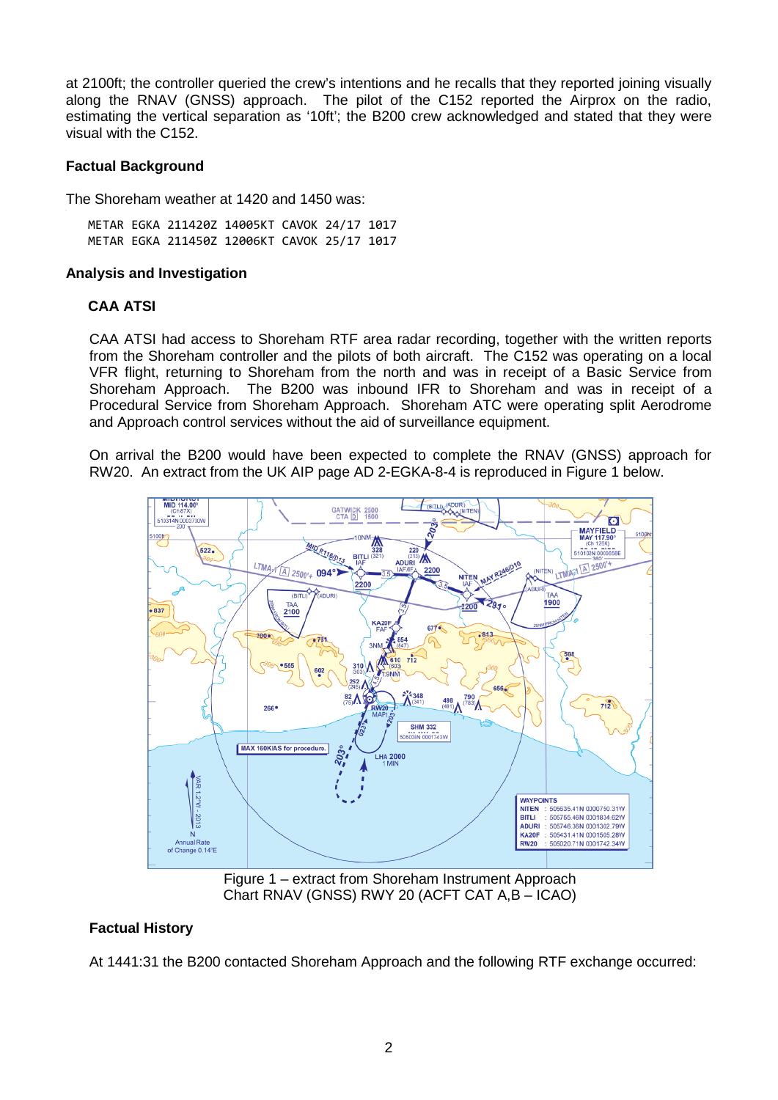at 2100ft; the controller queried the crew's intentions and he recalls that they reported joining visually along the RNAV (GNSS) approach. The pilot of the C152 reported the Airprox on the radio, estimating the vertical separation as '10ft'; the B200 crew acknowledged and stated that they were visual with the C152.

# **Factual Background**

The Shoreham weather at 1420 and 1450 was:

METAR EGKA 211420Z 14005KT CAVOK 24/17 1017 METAR EGKA 211450Z 12006KT CAVOK 25/17 1017

#### **Analysis and Investigation**

# **CAA ATSI**

CAA ATSI had access to Shoreham RTF area radar recording, together with the written reports from the Shoreham controller and the pilots of both aircraft. The C152 was operating on a local VFR flight, returning to Shoreham from the north and was in receipt of a Basic Service from Shoreham Approach. The B200 was inbound IFR to Shoreham and was in receipt of a Procedural Service from Shoreham Approach. Shoreham ATC were operating split Aerodrome and Approach control services without the aid of surveillance equipment.

On arrival the B200 would have been expected to complete the RNAV (GNSS) approach for RW20. An extract from the UK AIP page AD 2-EGKA-8-4 is reproduced in Figure 1 below.



Chart RNAV (GNSS) RWY 20 (ACFT CAT A,B – ICAO)

# **Factual History**

At 1441:31 the B200 contacted Shoreham Approach and the following RTF exchange occurred: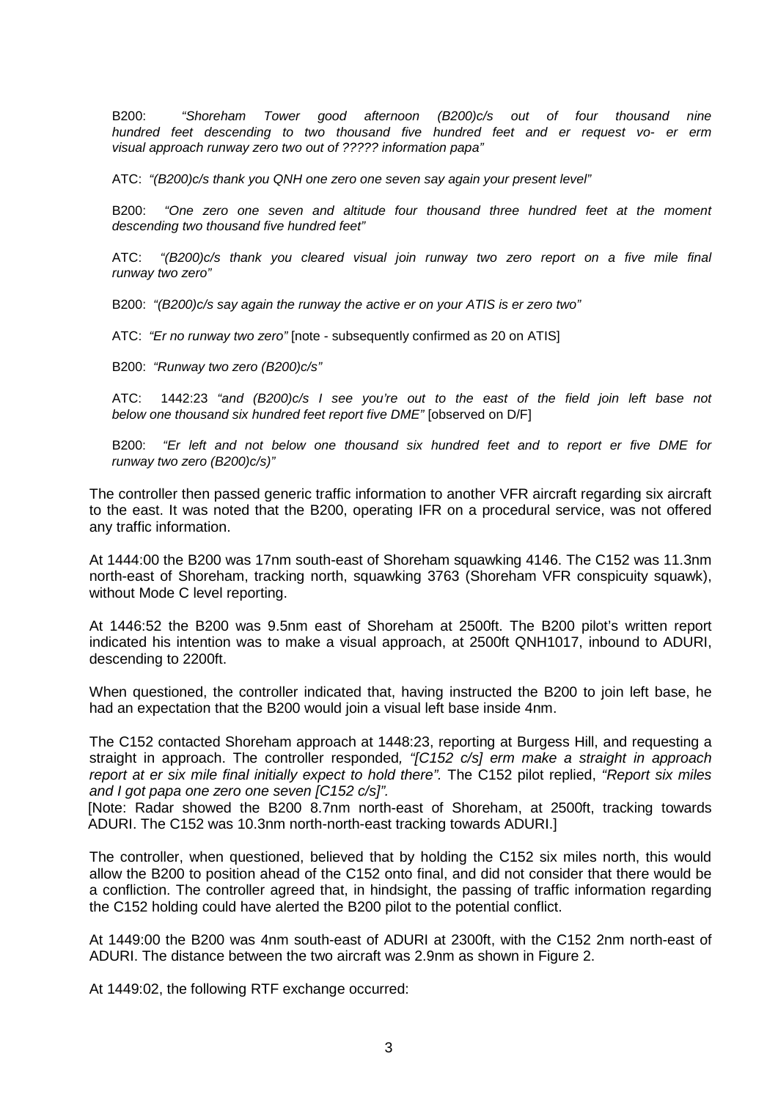B200: *"Shoreham Tower good afternoon (B200)c/s out of four thousand nine hundred feet descending to two thousand five hundred feet and er request vo- er erm visual approach runway zero two out of ????? information papa"* 

ATC: *"(B200)c/s thank you QNH one zero one seven say again your present level"*

B200: *"One zero one seven and altitude four thousand three hundred feet at the moment descending two thousand five hundred feet"*

ATC: *"(B200)c/s thank you cleared visual join runway two zero report on a five mile final runway two zero"*

B200: *"(B200)c/s say again the runway the active er on your ATIS is er zero two"*

ATC: *"Er no runway two zero"* [note - subsequently confirmed as 20 on ATIS]

B200: *"Runway two zero (B200)c/s"*

ATC: 1442:23 *"and (B200)c/s I see you're out to the east of the field join left base not below one thousand six hundred feet report five DME"* [observed on D/F]

B200: *"Er left and not below one thousand six hundred feet and to report er five DME for runway two zero (B200)c/s)"*

The controller then passed generic traffic information to another VFR aircraft regarding six aircraft to the east. It was noted that the B200, operating IFR on a procedural service, was not offered any traffic information.

At 1444:00 the B200 was 17nm south-east of Shoreham squawking 4146. The C152 was 11.3nm north-east of Shoreham, tracking north, squawking 3763 (Shoreham VFR conspicuity squawk), without Mode C level reporting.

At 1446:52 the B200 was 9.5nm east of Shoreham at 2500ft. The B200 pilot's written report indicated his intention was to make a visual approach, at 2500ft QNH1017, inbound to ADURI, descending to 2200ft.

When questioned, the controller indicated that, having instructed the B200 to join left base, he had an expectation that the B200 would join a visual left base inside 4nm.

The C152 contacted Shoreham approach at 1448:23, reporting at Burgess Hill, and requesting a straight in approach. The controller responded*, "[C152 c/s] erm make a straight in approach report at er six mile final initially expect to hold there".* The C152 pilot replied, *"Report six miles and I got papa one zero one seven [C152 c/s]".* 

[Note: Radar showed the B200 8.7nm north-east of Shoreham, at 2500ft, tracking towards ADURI. The C152 was 10.3nm north-north-east tracking towards ADURI.]

The controller, when questioned, believed that by holding the C152 six miles north, this would allow the B200 to position ahead of the C152 onto final, and did not consider that there would be a confliction. The controller agreed that, in hindsight, the passing of traffic information regarding the C152 holding could have alerted the B200 pilot to the potential conflict.

At 1449:00 the B200 was 4nm south-east of ADURI at 2300ft, with the C152 2nm north-east of ADURI. The distance between the two aircraft was 2.9nm as shown in Figure 2.

At 1449:02, the following RTF exchange occurred: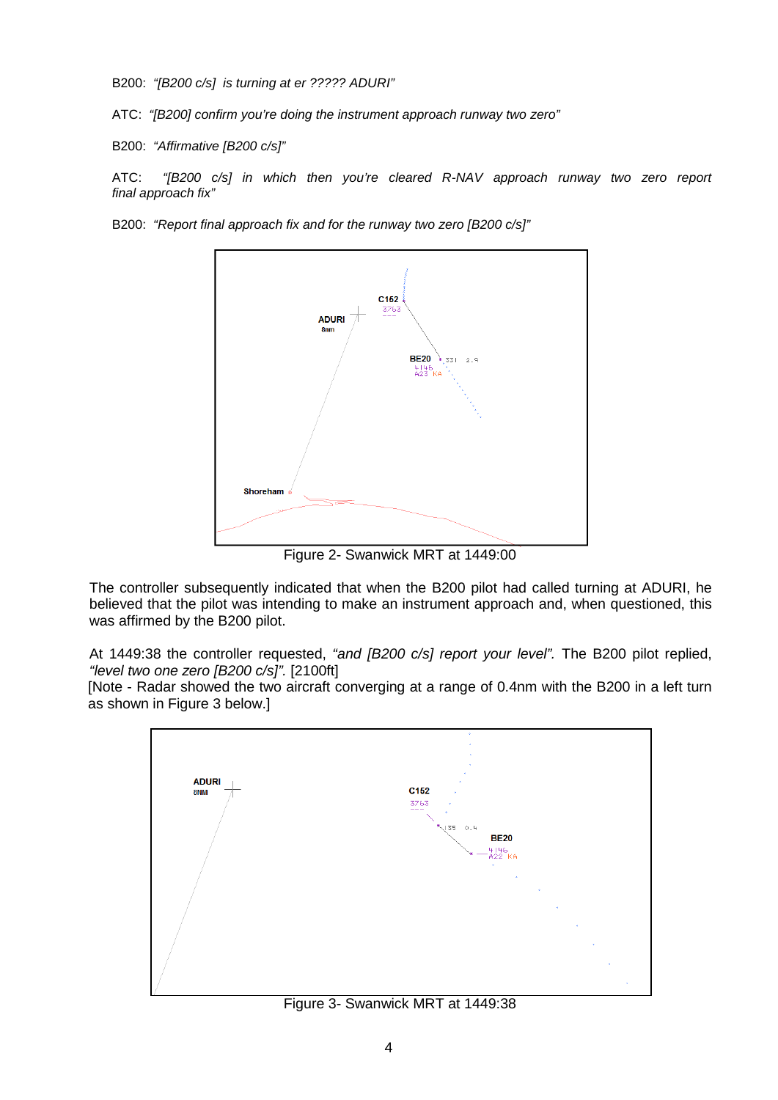B200: *"[B200 c/s] is turning at er ????? ADURI"*

ATC: *"[B200] confirm you're doing the instrument approach runway two zero"*

B200: *"Affirmative [B200 c/s]"*

ATC: *"[B200 c/s] in which then you're cleared R-NAV approach runway two zero report final approach fix"*

B200: *"Report final approach fix and for the runway two zero [B200 c/s]"*



Figure 2- Swanwick MRT at 1449:00

The controller subsequently indicated that when the B200 pilot had called turning at ADURI, he believed that the pilot was intending to make an instrument approach and, when questioned, this was affirmed by the B200 pilot.

At 1449:38 the controller requested, *"and [B200 c/s] report your level".* The B200 pilot replied, *"level two one zero [B200 c/s]".* [2100ft]

[Note - Radar showed the two aircraft converging at a range of 0.4nm with the B200 in a left turn as shown in Figure 3 below.]



Figure 3- Swanwick MRT at 1449:38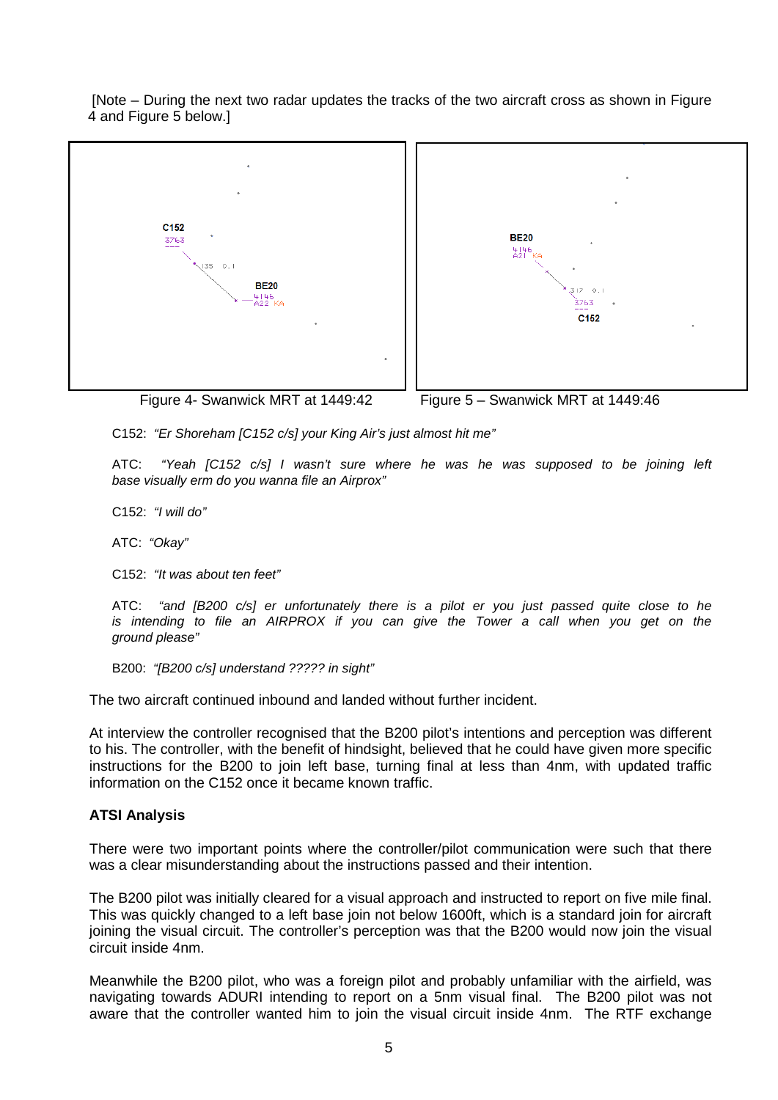[Note – During the next two radar updates the tracks of the two aircraft cross as shown in Figure 4 and Figure 5 below.]





Figure 4- Swanwick MRT at 1449:42 Figure 5 – Swanwick MRT at 1449:46

C152: *"Er Shoreham [C152 c/s] your King Air's just almost hit me"*

ATC: *"Yeah [C152 c/s] I wasn't sure where he was he was supposed to be joining left base visually erm do you wanna file an Airprox"*

C152: *"I will do"*

ATC: *"Okay"*

C152: *"It was about ten feet"*

ATC: *"and [B200 c/s] er unfortunately there is a pilot er you just passed quite close to he is intending to file an AIRPROX if you can give the Tower a call when you get on the ground please"*

B200: *"[B200 c/s] understand ????? in sight"*

The two aircraft continued inbound and landed without further incident.

At interview the controller recognised that the B200 pilot's intentions and perception was different to his. The controller, with the benefit of hindsight, believed that he could have given more specific instructions for the B200 to join left base, turning final at less than 4nm, with updated traffic information on the C152 once it became known traffic.

#### **ATSI Analysis**

There were two important points where the controller/pilot communication were such that there was a clear misunderstanding about the instructions passed and their intention.

The B200 pilot was initially cleared for a visual approach and instructed to report on five mile final. This was quickly changed to a left base join not below 1600ft, which is a standard join for aircraft joining the visual circuit. The controller's perception was that the B200 would now join the visual circuit inside 4nm.

Meanwhile the B200 pilot, who was a foreign pilot and probably unfamiliar with the airfield, was navigating towards ADURI intending to report on a 5nm visual final. The B200 pilot was not aware that the controller wanted him to join the visual circuit inside 4nm. The RTF exchange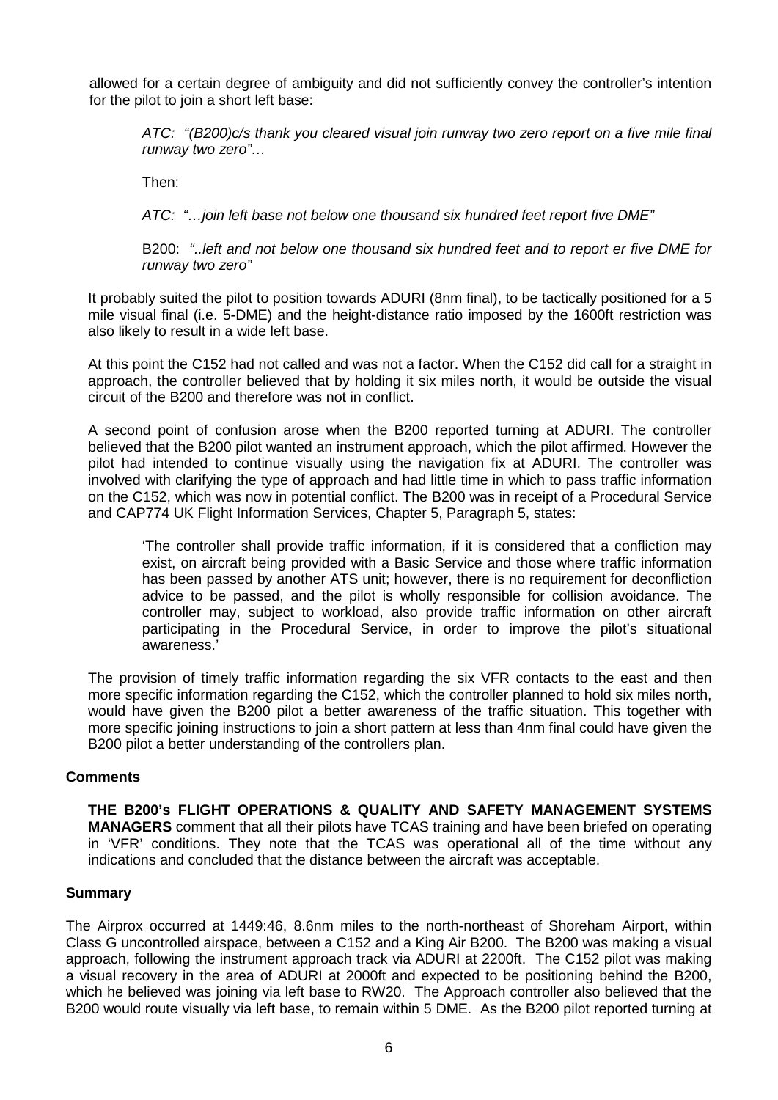allowed for a certain degree of ambiguity and did not sufficiently convey the controller's intention for the pilot to join a short left base:

*ATC: "(B200)c/s thank you cleared visual join runway two zero report on a five mile final runway two zero"…*

Then:

*ATC: "…join left base not below one thousand six hundred feet report five DME"* 

B200: *"..left and not below one thousand six hundred feet and to report er five DME for runway two zero"*

It probably suited the pilot to position towards ADURI (8nm final), to be tactically positioned for a 5 mile visual final (i.e. 5-DME) and the height-distance ratio imposed by the 1600ft restriction was also likely to result in a wide left base.

At this point the C152 had not called and was not a factor. When the C152 did call for a straight in approach, the controller believed that by holding it six miles north, it would be outside the visual circuit of the B200 and therefore was not in conflict.

A second point of confusion arose when the B200 reported turning at ADURI. The controller believed that the B200 pilot wanted an instrument approach, which the pilot affirmed. However the pilot had intended to continue visually using the navigation fix at ADURI. The controller was involved with clarifying the type of approach and had little time in which to pass traffic information on the C152, which was now in potential conflict. The B200 was in receipt of a Procedural Service and CAP774 UK Flight Information Services, Chapter 5, Paragraph 5, states:

'The controller shall provide traffic information, if it is considered that a confliction may exist, on aircraft being provided with a Basic Service and those where traffic information has been passed by another ATS unit; however, there is no requirement for deconfliction advice to be passed, and the pilot is wholly responsible for collision avoidance. The controller may, subject to workload, also provide traffic information on other aircraft participating in the Procedural Service, in order to improve the pilot's situational awareness.'

The provision of timely traffic information regarding the six VFR contacts to the east and then more specific information regarding the C152, which the controller planned to hold six miles north, would have given the B200 pilot a better awareness of the traffic situation. This together with more specific joining instructions to join a short pattern at less than 4nm final could have given the B200 pilot a better understanding of the controllers plan.

# **Comments**

**THE B200's FLIGHT OPERATIONS & QUALITY AND SAFETY MANAGEMENT SYSTEMS MANAGERS** comment that all their pilots have TCAS training and have been briefed on operating in 'VFR' conditions. They note that the TCAS was operational all of the time without any indications and concluded that the distance between the aircraft was acceptable.

#### **Summary**

The Airprox occurred at 1449:46, 8.6nm miles to the north-northeast of Shoreham Airport, within Class G uncontrolled airspace, between a C152 and a King Air B200. The B200 was making a visual approach, following the instrument approach track via ADURI at 2200ft. The C152 pilot was making a visual recovery in the area of ADURI at 2000ft and expected to be positioning behind the B200, which he believed was joining via left base to RW20. The Approach controller also believed that the B200 would route visually via left base, to remain within 5 DME. As the B200 pilot reported turning at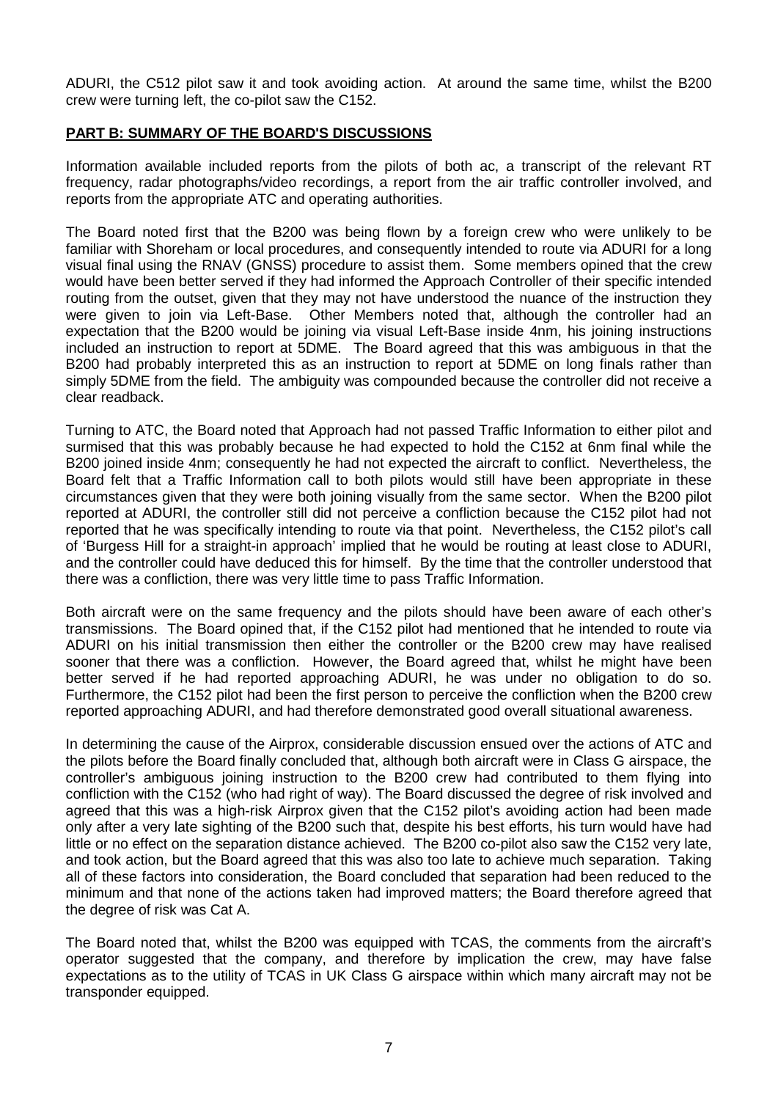ADURI, the C512 pilot saw it and took avoiding action. At around the same time, whilst the B200 crew were turning left, the co-pilot saw the C152.

# **PART B: SUMMARY OF THE BOARD'S DISCUSSIONS**

Information available included reports from the pilots of both ac, a transcript of the relevant RT frequency, radar photographs/video recordings, a report from the air traffic controller involved, and reports from the appropriate ATC and operating authorities.

The Board noted first that the B200 was being flown by a foreign crew who were unlikely to be familiar with Shoreham or local procedures, and consequently intended to route via ADURI for a long visual final using the RNAV (GNSS) procedure to assist them. Some members opined that the crew would have been better served if they had informed the Approach Controller of their specific intended routing from the outset, given that they may not have understood the nuance of the instruction they were given to join via Left-Base. Other Members noted that, although the controller had an expectation that the B200 would be joining via visual Left-Base inside 4nm, his joining instructions included an instruction to report at 5DME. The Board agreed that this was ambiguous in that the B200 had probably interpreted this as an instruction to report at 5DME on long finals rather than simply 5DME from the field. The ambiguity was compounded because the controller did not receive a clear readback.

Turning to ATC, the Board noted that Approach had not passed Traffic Information to either pilot and surmised that this was probably because he had expected to hold the C152 at 6nm final while the B200 joined inside 4nm; consequently he had not expected the aircraft to conflict. Nevertheless, the Board felt that a Traffic Information call to both pilots would still have been appropriate in these circumstances given that they were both joining visually from the same sector. When the B200 pilot reported at ADURI, the controller still did not perceive a confliction because the C152 pilot had not reported that he was specifically intending to route via that point. Nevertheless, the C152 pilot's call of 'Burgess Hill for a straight-in approach' implied that he would be routing at least close to ADURI, and the controller could have deduced this for himself. By the time that the controller understood that there was a confliction, there was very little time to pass Traffic Information.

Both aircraft were on the same frequency and the pilots should have been aware of each other's transmissions. The Board opined that, if the C152 pilot had mentioned that he intended to route via ADURI on his initial transmission then either the controller or the B200 crew may have realised sooner that there was a confliction. However, the Board agreed that, whilst he might have been better served if he had reported approaching ADURI, he was under no obligation to do so. Furthermore, the C152 pilot had been the first person to perceive the confliction when the B200 crew reported approaching ADURI, and had therefore demonstrated good overall situational awareness.

In determining the cause of the Airprox, considerable discussion ensued over the actions of ATC and the pilots before the Board finally concluded that, although both aircraft were in Class G airspace, the controller's ambiguous joining instruction to the B200 crew had contributed to them flying into confliction with the C152 (who had right of way). The Board discussed the degree of risk involved and agreed that this was a high-risk Airprox given that the C152 pilot's avoiding action had been made only after a very late sighting of the B200 such that, despite his best efforts, his turn would have had little or no effect on the separation distance achieved. The B200 co-pilot also saw the C152 very late, and took action, but the Board agreed that this was also too late to achieve much separation. Taking all of these factors into consideration, the Board concluded that separation had been reduced to the minimum and that none of the actions taken had improved matters; the Board therefore agreed that the degree of risk was Cat A.

The Board noted that, whilst the B200 was equipped with TCAS, the comments from the aircraft's operator suggested that the company, and therefore by implication the crew, may have false expectations as to the utility of TCAS in UK Class G airspace within which many aircraft may not be transponder equipped.